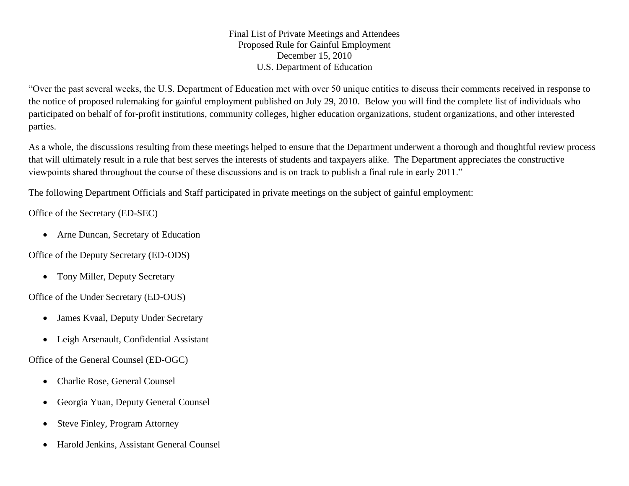Final List of Private Meetings and Attendees Proposed Rule for Gainful Employment December 15, 2010 U.S. Department of Education

"Over the past several weeks, the U.S. Department of Education met with over 50 unique entities to discuss their comments received in response to the notice of proposed rulemaking for gainful employment published on July 29, 2010. Below you will find the complete list of individuals who participated on behalf of for-profit institutions, community colleges, higher education organizations, student organizations, and other interested parties.

As a whole, the discussions resulting from these meetings helped to ensure that the Department underwent a thorough and thoughtful review process that will ultimately result in a rule that best serves the interests of students and taxpayers alike. The Department appreciates the constructive viewpoints shared throughout the course of these discussions and is on track to publish a final rule in early 2011."

The following Department Officials and Staff participated in private meetings on the subject of gainful employment:

Office of the Secretary (ED-SEC)

Arne Duncan, Secretary of Education

Office of the Deputy Secretary (ED-ODS)

• Tony Miller, Deputy Secretary

Office of the Under Secretary (ED-OUS)

- James Kvaal, Deputy Under Secretary
- Leigh Arsenault, Confidential Assistant

Office of the General Counsel (ED-OGC)

- Charlie Rose, General Counsel
- Georgia Yuan, Deputy General Counsel
- Steve Finley, Program Attorney
- Harold Jenkins, Assistant General Counsel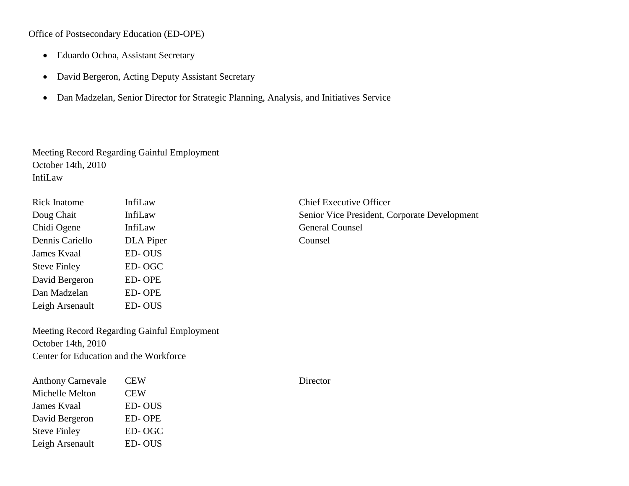Office of Postsecondary Education (ED-OPE)

- Eduardo Ochoa, Assistant Secretary
- David Bergeron, Acting Deputy Assistant Secretary
- Dan Madzelan, Senior Director for Strategic Planning, Analysis, and Initiatives Service

Meeting Record Regarding Gainful Employment October 14th, 2010 InfiLaw

| <b>Rick Inatome</b> | InfiLaw       | Chief Ex |
|---------------------|---------------|----------|
| Doug Chait          | InfiLaw       | Senior \ |
| Chidi Ogene         | InfiLaw       | General  |
| Dennis Cariello     | DLA Piper     | Counsel  |
| James Kvaal         | <b>ED-OUS</b> |          |
| <b>Steve Finley</b> | ED-OGC        |          |
| David Bergeron      | <b>ED-OPE</b> |          |
| Dan Madzelan        | <b>ED-OPE</b> |          |
| Leigh Arsenault     | ED-OUS        |          |

**Chief Executive Officer** Senior Vice President, Corporate Development General Counsel

Meeting Record Regarding Gainful Employment October 14th, 2010 Center for Education and the Workforce

| <b>Anthony Carnevale</b> | <b>CEW</b> | Director |
|--------------------------|------------|----------|
| Michelle Melton          | <b>CEW</b> |          |
| James Kvaal              | ED-OUS     |          |
| David Bergeron           | ED-OPE     |          |
| <b>Steve Finley</b>      | ED-OGC     |          |
| Leigh Arsenault          | ED-OUS     |          |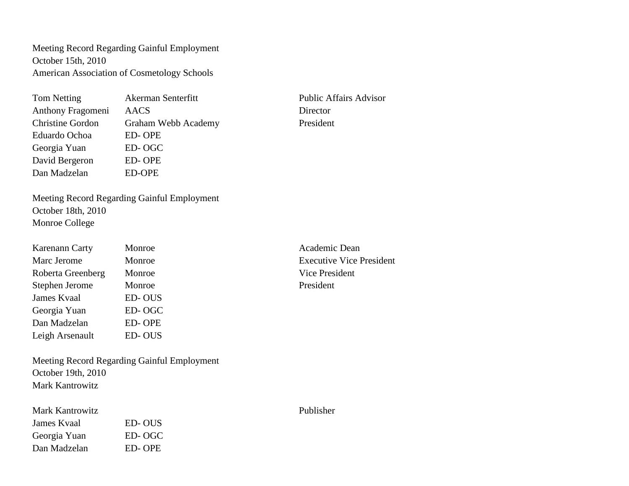Meeting Record Regarding Gainful Employment October 15th, 2010 American Association of Cosmetology Schools

| Tom Netting             | Akerman Senterfitt  | Public A |
|-------------------------|---------------------|----------|
| Anthony Fragomeni       | AACS                | Director |
| <b>Christine Gordon</b> | Graham Webb Academy | Presiden |
| Eduardo Ochoa           | ED-OPE              |          |
| Georgia Yuan            | ED-OGC              |          |
| David Bergeron          | ED-OPE              |          |
| Dan Madzelan            | <b>ED-OPE</b>       |          |

Public Affairs Advisor President

Meeting Record Regarding Gainful Employment October 18th, 2010 Monroe College

| <b>Karenann Carty</b> | Monroe        |
|-----------------------|---------------|
| Marc Jerome           | Monroe        |
| Roberta Greenberg     | Monroe        |
| Stephen Jerome        | Monroe        |
| James Kvaal           | <b>ED-OUS</b> |
| Georgia Yuan          | ED-OGC        |
| Dan Madzelan          | <b>ED-OPE</b> |
| Leigh Arsenault       | <b>ED-OUS</b> |
|                       |               |

Meeting Record Regarding Gainful Employment October 19th, 2010 Mark Kantrowitz

| Mark Kantrowitz |        |
|-----------------|--------|
| James Kvaal     | ED-OUS |
| Georgia Yuan    | ED-OGC |
| Dan Madzelan    | ED-OPE |

Academic Dean **Executive Vice President** Vice President President

Publisher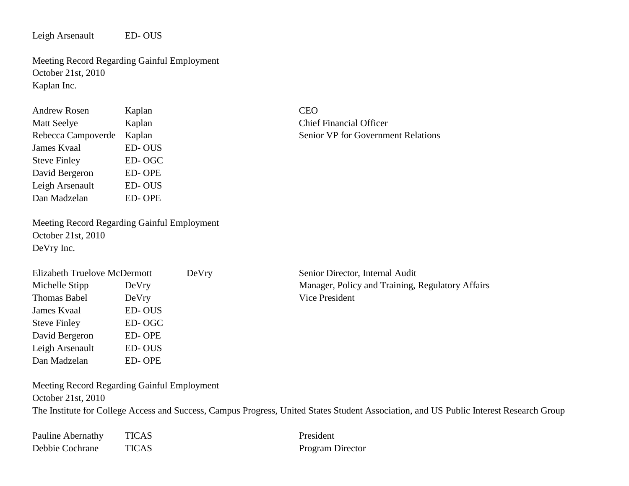Leigh Arsenault ED- OUS

Meeting Record Regarding Gainful Employment October 21st, 2010 Kaplan Inc.

| <b>Andrew Rosen</b> | Kaplan        | <b>CEO</b> |
|---------------------|---------------|------------|
| <b>Matt Seelye</b>  | Kaplan        | Chie:      |
| Rebecca Campoverde  | Kaplan        | Senio      |
| James Kvaal         | ED-OUS        |            |
| <b>Steve Finley</b> | ED-OGC        |            |
| David Bergeron      | <b>ED-OPE</b> |            |
| Leigh Arsenault     | <b>ED-OUS</b> |            |
| Dan Madzelan        | <b>ED-OPE</b> |            |
|                     |               |            |

Meeting Record Regarding Gainful Employment October 21st, 2010 DeVry Inc.

| Elizabeth Truelove McDermott |        | DeVry | Senior Director, Internal Audit                  |
|------------------------------|--------|-------|--------------------------------------------------|
| Michelle Stipp               | DeVry  |       | Manager, Policy and Training, Regulatory Affairs |
| Thomas Babel                 | DeVry  |       | Vice President                                   |
| James Kvaal                  | ED-OUS |       |                                                  |
| <b>Steve Finley</b>          | ED-OGC |       |                                                  |
| David Bergeron               | ED-OPE |       |                                                  |
| Leigh Arsenault              | ED-OUS |       |                                                  |

Meeting Record Regarding Gainful Employment October 21st, 2010 The Institute for College Access and Success, Campus Progress, United States Student Association, and US Public Interest Research Group

| Pauline Abernathy | <b>TICAS</b> | President |
|-------------------|--------------|-----------|
| Debbie Cochrane   | <b>TICAS</b> | Program   |

Dan Madzelan ED- OPE

S Program Director

Chief Financial Officer

Senior VP for Government Relations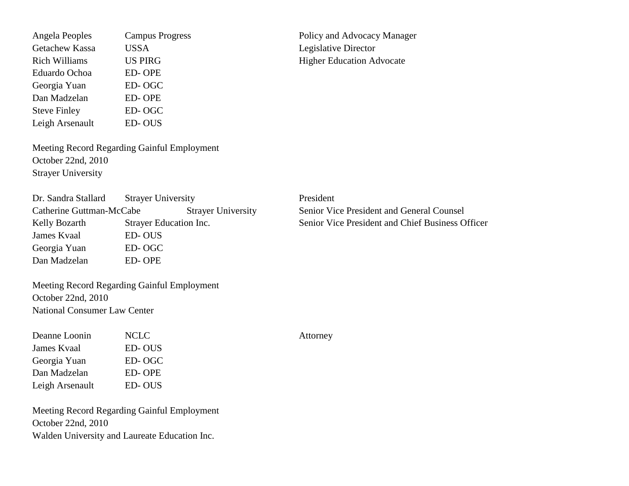Angela Peoples Campus Progress Policy and Advocacy Manager Getachew Kassa USSA Legislative Director Rich Williams US PIRG Higher Education Advocate Eduardo Ochoa ED- OPE Georgia Yuan ED- OGC Dan Madzelan ED- OPE Steve Finley ED- OGC Leigh Arsenault ED- OUS

Meeting Record Regarding Gainful Employment October 22nd, 2010 Strayer University

Dr. Sandra Stallard Strayer University President Catherine Guttman-McCabe Strayer University Senior Vice President and General Counsel Kelly Bozarth Strayer Education Inc. Senior Vice President and Chief Business Officer James Kvaal ED- OUS Georgia Yuan ED- OGC Dan Madzelan ED- OPE

Meeting Record Regarding Gainful Employment October 22nd, 2010 National Consumer Law Center

| Deanne Loonin      | NCLC          |
|--------------------|---------------|
| <b>James Kvaal</b> | <b>ED-OUS</b> |
| Georgia Yuan       | ED-OGC        |
| Dan Madzelan       | <b>ED-OPE</b> |
| Leigh Arsenault    | <b>ED-OUS</b> |

Meeting Record Regarding Gainful Employment October 22nd, 2010 Walden University and Laureate Education Inc.

Attorney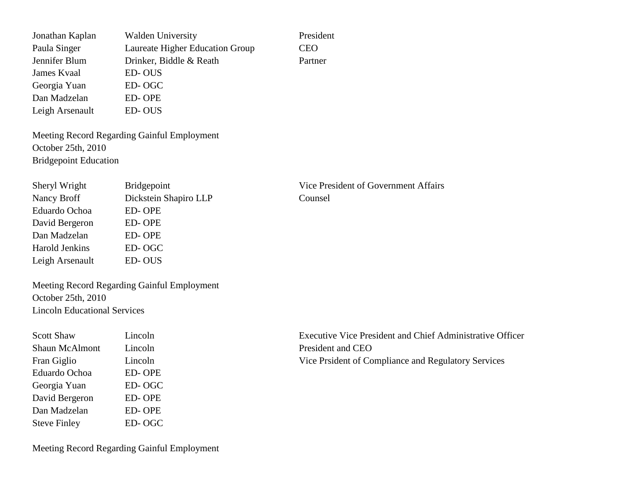Jonathan Kaplan Walden University President Paula Singer Laureate Higher Education Group CEO Jennifer Blum Drinker, Biddle & Reath Partner James Kvaal ED- OUS Georgia Yuan ED- OGC Dan Madzelan ED- OPE Leigh Arsenault ED- OUS

Meeting Record Regarding Gainful Employment October 25th, 2010 Bridgepoint Education

| Sheryl Wright         | <b>Bridgepoint</b>    | Vice Pre |
|-----------------------|-----------------------|----------|
| Nancy Broff           | Dickstein Shapiro LLP | Counsel  |
| Eduardo Ochoa         | ED-OPE                |          |
| David Bergeron        | ED-OPE                |          |
| Dan Madzelan          | ED-OPE                |          |
| <b>Harold Jenkins</b> | ED-OGC                |          |
| Leigh Arsenault       | ED-OUS                |          |
|                       |                       |          |

Vice President of Government Affairs

Meeting Record Regarding Gainful Employment October 25th, 2010 Lincoln Educational Services

| <b>Scott Shaw</b>     | Lincoln       |
|-----------------------|---------------|
| <b>Shaun McAlmont</b> | Lincoln       |
| Fran Giglio           | Lincoln       |
| Eduardo Ochoa         | <b>ED-OPE</b> |
| Georgia Yuan          | ED-OGC        |
| David Bergeron        | <b>ED-OPE</b> |
| Dan Madzelan          | <b>ED-OPE</b> |
| <b>Steve Finley</b>   | ED-OGC        |

Executive Vice President and Chief Administrative Officer President and CEO Vice Prsident of Compliance and Regulatory Services

Meeting Record Regarding Gainful Employment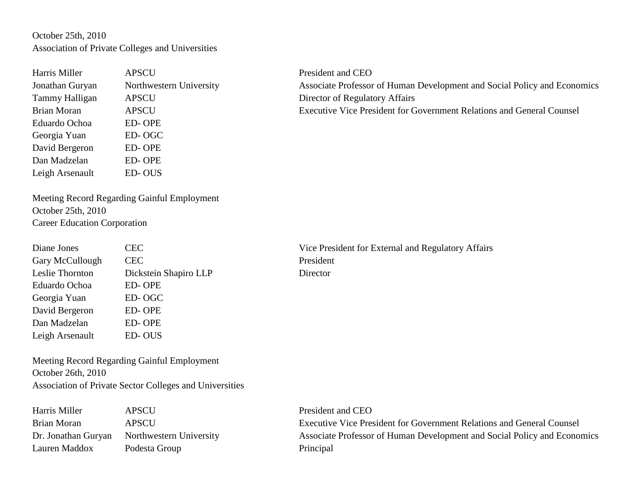## October 25th, 2010 Association of Private Colleges and Universities

| Harris Miller      | <b>APSCU</b>          |
|--------------------|-----------------------|
| Jonathan Guryan    | Northwestern Universi |
| Tammy Halligan     | <b>APSCU</b>          |
| <b>Brian Moran</b> | <b>APSCU</b>          |
| Eduardo Ochoa      | <b>ED-OPE</b>         |
| Georgia Yuan       | ED-OGC                |
| David Bergeron     | <b>ED-OPE</b>         |
| Dan Madzelan       | <b>ED-OPE</b>         |
| Leigh Arsenault    | ED-OUS                |

President and CEO ity Associate Professor of Human Development and Social Policy and Economics Director of Regulatory Affairs Executive Vice President for Government Relations and General Counsel

Meeting Record Regarding Gainful Employment October 25th, 2010 Career Education Corporation

| Diane Jones     | <b>CEC</b>            | Vice Pres |
|-----------------|-----------------------|-----------|
| Gary McCullough | <b>CEC</b>            | President |
| Leslie Thornton | Dickstein Shapiro LLP | Director  |
| Eduardo Ochoa   | <b>ED-OPE</b>         |           |
| Georgia Yuan    | ED-OGC                |           |
| David Bergeron  | <b>ED-OPE</b>         |           |
| Dan Madzelan    | ED-OPE                |           |
| Leigh Arsenault | <b>ED-OUS</b>         |           |

Vice President for External and Regulatory Affairs

Meeting Record Regarding Gainful Employment October 26th, 2010 Association of Private Sector Colleges and Universities

| Harris Miller       | <b>APSCU</b>            |
|---------------------|-------------------------|
| Brian Moran         | APSCU                   |
| Dr. Jonathan Guryan | Northwestern University |
| Lauren Maddox       | Podesta Group           |

President and CEO Executive Vice President for Government Relations and General Counsel Associate Professor of Human Development and Social Policy and Economics Principal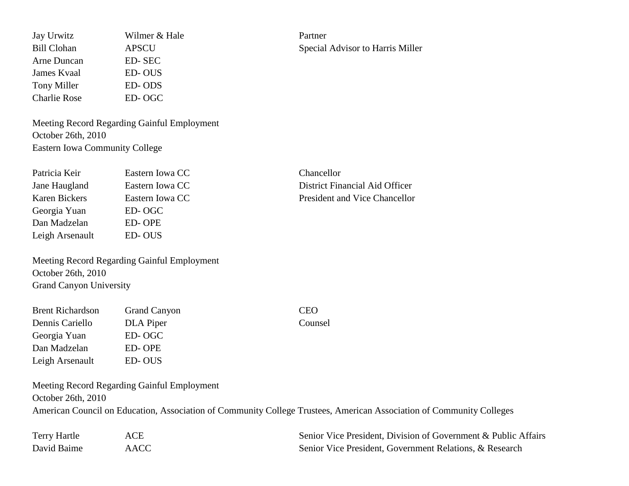Jay Urwitz Wilmer & Hale Partner Bill Clohan APSCU APSCU Special Advisor to Harris Miller Arne Duncan ED- SEC James Kvaal ED- OUS Tony Miller **ED-ODS** Charlie Rose ED- OGC

Meeting Record Regarding Gainful Employment October 26th, 2010 Eastern Iowa Community College

| Eastern Iowa CC | Chancellor                          |
|-----------------|-------------------------------------|
| Eastern Iowa CC | District Financial Aid Officer      |
| Eastern Iowa CC | <b>President and Vice Chancello</b> |
| ED-OGC          |                                     |
| ED-OPE          |                                     |
| ED-OUS          |                                     |
|                 |                                     |

Meeting Record Regarding Gainful Employment October 26th, 2010 Grand Canyon University

| <b>Grand Canyon</b> | CEO     |
|---------------------|---------|
| DLA Piper           | Counsel |
| ED-OGC              |         |
| ED-OPE              |         |
| ED-OUS              |         |
|                     |         |

Meeting Record Regarding Gainful Employment October 26th, 2010 American Council on Education, Association of Community College Trustees, American Association of Community Colleges

| Terry Hartle |      | Senior Vice President, Division of Government & Public Affairs |
|--------------|------|----------------------------------------------------------------|
| David Baime  | AACC | Senior Vice President, Government Relations, & Research        |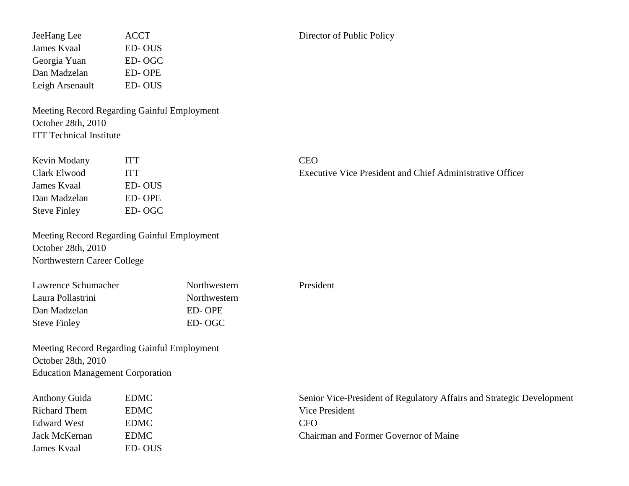Meeting Record Regarding Gainful Employment October 28th, 2010 ITT Technical Institute

| Kevin Modany        | <b>ITT</b> | CEO  |
|---------------------|------------|------|
| Clark Elwood        | <b>ITT</b> | Exec |
| James Kvaal         | ED-OUS     |      |
| Dan Madzelan        | ED-OPE     |      |
| <b>Steve Finley</b> | ED-OGC     |      |

Meeting Record Regarding Gainful Employment October 28th, 2010 Northwestern Career College

| Lawrence Schumacher | Northwestern |
|---------------------|--------------|
| Laura Pollastrini   | Northwestern |
| Dan Madzelan        | ED-OPE       |
| <b>Steve Finley</b> | ED-OGC       |

Meeting Record Regarding Gainful Employment October 28th, 2010 Education Management Corporation

| <b>Anthony Guida</b> | <b>EDMC</b> | Senior Vice-President of Regulatory Affairs and Strategic Development |
|----------------------|-------------|-----------------------------------------------------------------------|
| Richard Them         | <b>EDMC</b> | Vice President                                                        |
| Edward West          | <b>EDMC</b> | <b>CFO</b>                                                            |
| Jack McKernan        | <b>EDMC</b> | Chairman and Former Governor of Maine                                 |
| James Kvaal          | ED-OUS      |                                                                       |

President

Executive Vice President and Chief Administrative Officer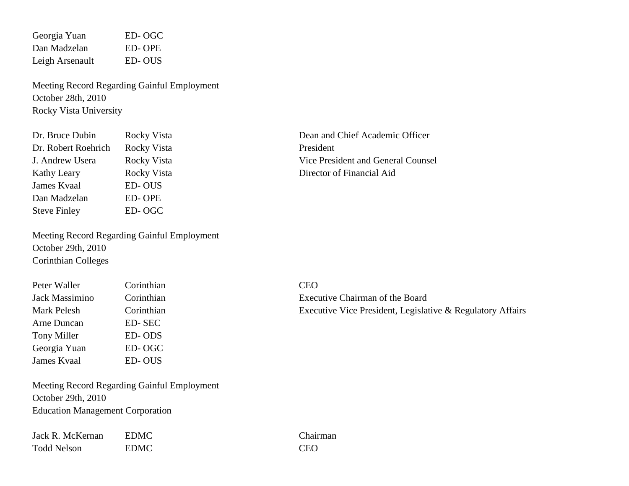Georgia Yuan ED- OGC Dan Madzelan ED- OPE Leigh Arsenault ED- OUS

Meeting Record Regarding Gainful Employment October 28th, 2010 Rocky Vista University

| Dr. Bruce Dubin     | Rocky Vista | Dean and  |
|---------------------|-------------|-----------|
| Dr. Robert Roehrich | Rocky Vista | President |
| J. Andrew Usera     | Rocky Vista | Vice Pres |
| <b>Kathy Leary</b>  | Rocky Vista | Director  |
| James Kvaal         | ED-OUS      |           |
| Dan Madzelan        | ED-OPE      |           |
| <b>Steve Finley</b> | ED-OGC      |           |

Meeting Record Regarding Gainful Employment October 29th, 2010 Corinthian Colleges

| Peter Waller   | Corinthian | <b>CEO</b> |
|----------------|------------|------------|
| Jack Massimino | Corinthian | Exec       |
| Mark Pelesh    | Corinthian | Exec       |
| Arne Duncan    | ED-SEC     |            |
| Tony Miller    | ED-ODS     |            |
| Georgia Yuan   | ED-OGC     |            |
| James Kvaal    | ED-OUS     |            |

Meeting Record Regarding Gainful Employment October 29th, 2010 Education Management Corporation

| Jack R. McKernan   | <b>EDMC</b> | Chai       |
|--------------------|-------------|------------|
| <b>Todd Nelson</b> | <b>EDMC</b> | <b>CEO</b> |

Dean and Chief Academic Officer Vice President and General Counsel Director of Financial Aid

Executive Chairman of the Board Executive Vice President, Legislative  $\&$  Regulatory Affairs

IC Chairman EDMC Chairman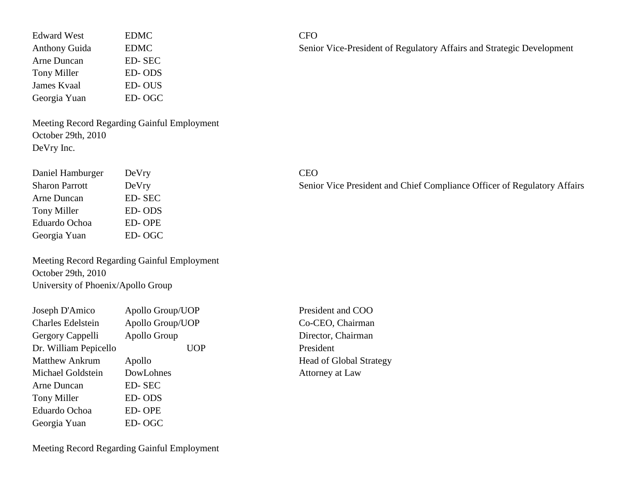| <b>EDMC</b> | <b>CFO</b> |
|-------------|------------|
| <b>EDMC</b> | Senio      |
| ED-SEC      |            |
| ED-ODS      |            |
| ED-OUS      |            |
| ED-OGC      |            |
|             |            |

Meeting Record Regarding Gainful Employment October 29th, 2010 DeVry Inc.

| Daniel Hamburger      | DeVry  | <b>CEO</b> |
|-----------------------|--------|------------|
| <b>Sharon Parrott</b> | DeVry  | Senio      |
| Arne Duncan           | ED-SEC |            |
| Tony Miller           | ED-ODS |            |
| Eduardo Ochoa         | ED-OPE |            |
| Georgia Yuan          | ED-OGC |            |

Meeting Record Regarding Gainful Employment October 29th, 2010 University of Phoenix/Apollo Group

| Joseph D'Amico           | Apollo Group/UOP |
|--------------------------|------------------|
| <b>Charles Edelstein</b> | Apollo Group/UOP |
| Gergory Cappelli         | Apollo Group     |
| Dr. William Pepicello    | UOP              |
| <b>Matthew Ankrum</b>    | Apollo           |
| Michael Goldstein        | DowLohnes        |
| Arne Duncan              | <b>ED-SEC</b>    |
| <b>Tony Miller</b>       | ED-ODS           |
| Eduardo Ochoa            | ED-OPE           |
| Georgia Yuan             | ED-OGC           |

Senior Vice-President of Regulatory Affairs and Strategic Development

Senior Vice President and Chief Compliance Officer of Regulatory Affairs

President and COO Co-CEO, Chairman Director, Chairman President Head of Global Strategy Attorney at Law

Meeting Record Regarding Gainful Employment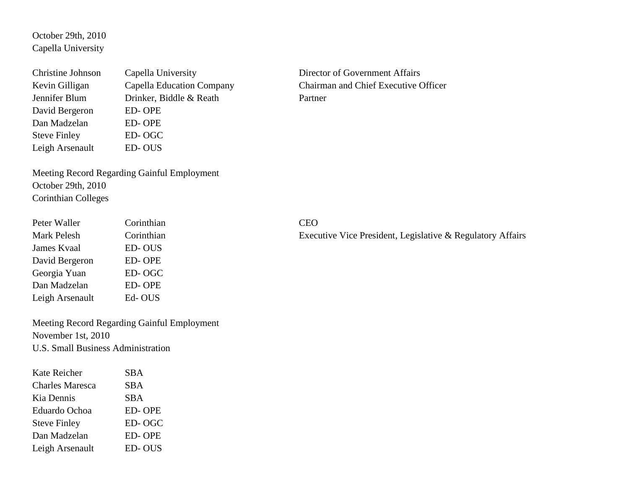October 29th, 2010 Capella University

| <b>Christine Johnson</b> | Capella University        | Directo |
|--------------------------|---------------------------|---------|
| Kevin Gilligan           | Capella Education Company | Chairm  |
| Jennifer Blum            | Drinker, Biddle & Reath   | Partner |
| David Bergeron           | ED-OPE                    |         |
| Dan Madzelan             | ED-OPE                    |         |
| <b>Steve Finley</b>      | ED-OGC                    |         |
| Leigh Arsenault          | ED-OUS                    |         |

Director of Government Affairs Chairman and Chief Executive Officer

Meeting Record Regarding Gainful Employment October 29th, 2010 Corinthian Colleges

| Peter Waller    | Corinthian | <b>CEO</b> |
|-----------------|------------|------------|
| Mark Pelesh     | Corinthian | Exec       |
| James Kvaal     | ED-OUS     |            |
| David Bergeron  | ED-OPE     |            |
| Georgia Yuan    | ED-OGC     |            |
| Dan Madzelan    | ED-OPE     |            |
| Leigh Arsenault | Ed-OUS     |            |

Meeting Record Regarding Gainful Employment November 1st, 2010 U.S. Small Business Administration

| Kate Reicher        | SBA           |
|---------------------|---------------|
| Charles Maresca     | <b>SBA</b>    |
| Kia Dennis          | SBA           |
| Eduardo Ochoa       | <b>ED-OPE</b> |
| <b>Steve Finley</b> | ED-OGC        |
| Dan Madzelan        | <b>ED-OPE</b> |
| Leigh Arsenault     | <b>ED-OUS</b> |

Executive Vice President, Legislative & Regulatory Affairs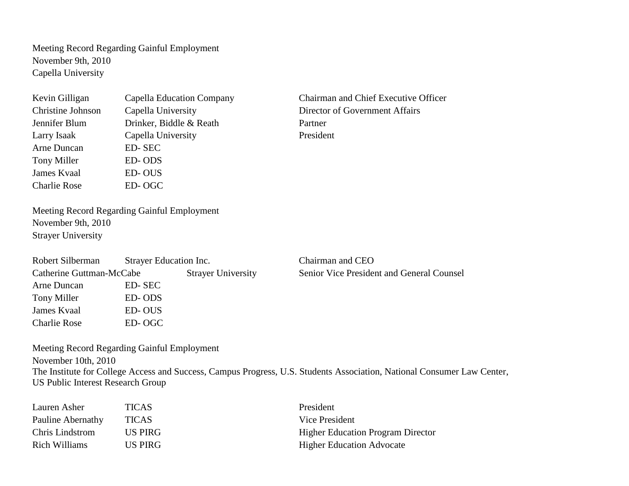Meeting Record Regarding Gainful Employment November 9th, 2010 Capella University

| Kevin Gilligan      | Capella Education Company | Chairm  |
|---------------------|---------------------------|---------|
| Christine Johnson   | Capella University        | Directo |
| Jennifer Blum       | Drinker, Biddle & Reath   | Partner |
| Larry Isaak         | Capella University        | Preside |
| Arne Duncan         | ED-SEC                    |         |
| Tony Miller         | ED-ODS                    |         |
| James Kvaal         | ED-OUS                    |         |
| <b>Charlie Rose</b> | ED-OGC                    |         |

 $K<sub>k</sub>$  Chairman and Chief Executive Officer Director of Government Affairs President

Meeting Record Regarding Gainful Employment November 9th, 2010 Strayer University

| Robert Silberman         | Strayer Education Inc. |                           | Chairman and CEO                          |
|--------------------------|------------------------|---------------------------|-------------------------------------------|
| Catherine Guttman-McCabe |                        | <b>Strayer University</b> | Senior Vice President and General Counsel |
| Arne Duncan              | ED-SEC                 |                           |                                           |
| Tony Miller              | ED-ODS                 |                           |                                           |
| James Kvaal              | ED-OUS                 |                           |                                           |
| <b>Charlie Rose</b>      | ED-OGC                 |                           |                                           |

Meeting Record Regarding Gainful Employment November 10th, 2010 The Institute for College Access and Success, Campus Progress, U.S. Students Association, National Consumer Law Center, US Public Interest Research Group

| Lauren Asher      | <b>TICAS</b> | President                                |
|-------------------|--------------|------------------------------------------|
| Pauline Abernathy | <b>TICAS</b> | Vice President                           |
| Chris Lindstrom   | US PIRG      | <b>Higher Education Program Director</b> |
| Rich Williams     | US PIRG      | <b>Higher Education Advocate</b>         |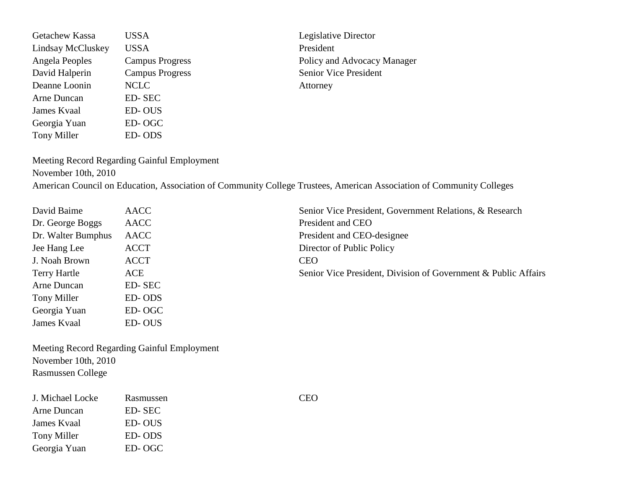Getachew Kassa USSA Legislative Director Lindsay McCluskey USSA President Angela Peoples Campus Progress Policy and Advocacy Manager David Halperin Campus Progress Senior Vice President Deanne Loonin NCLC Attorney Arne Duncan ED- SEC James Kvaal ED- OUS Georgia Yuan ED- OGC Tony Miller ED- ODS

Meeting Record Regarding Gainful Employment

November 10th, 2010

American Council on Education, Association of Community College Trustees, American Association of Community Colleges

| David Baime         | <b>AACC</b>   | Senio      |
|---------------------|---------------|------------|
| Dr. George Boggs    | <b>AACC</b>   | Presi      |
| Dr. Walter Bumphus  | <b>AACC</b>   | Presi      |
| Jee Hang Lee        | <b>ACCT</b>   | Direo      |
| J. Noah Brown       | <b>ACCT</b>   | <b>CEO</b> |
| <b>Terry Hartle</b> | ACE           | Senio      |
| Arne Duncan         | <b>ED-SEC</b> |            |
| Tony Miller         | ED-ODS        |            |
| Georgia Yuan        | ED-OGC        |            |
| James Kvaal         | ED-OUS        |            |

Senior Vice President, Government Relations, & Research President and CEO President and CEO-designee Director of Public Policy Senior Vice President, Division of Government & Public Affairs

Meeting Record Regarding Gainful Employment November 10th, 2010 Rasmussen College

| J. Michael Locke | Rasmussen | CEO |
|------------------|-----------|-----|
| Arne Duncan      | ED-SEC    |     |
| James Kvaal      | ED-OUS    |     |
| Tony Miller      | ED-ODS    |     |
| Georgia Yuan     | ED-OGC    |     |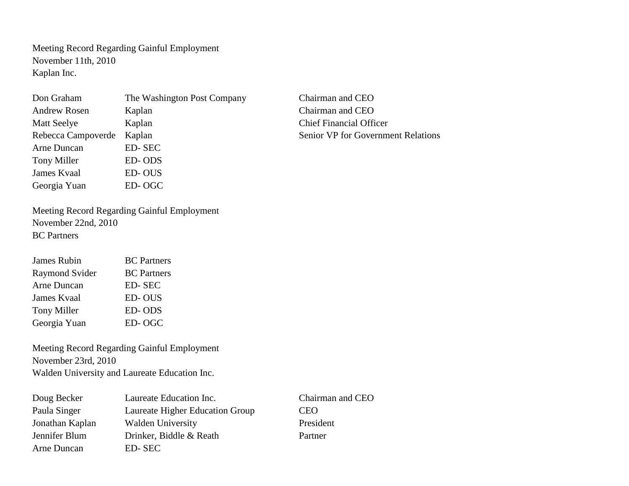Meeting Record Regarding Gainful Employment November 11th, 2010 Kaplan Inc.

| Don Graham          | The Washington Post Compan |
|---------------------|----------------------------|
| <b>Andrew Rosen</b> | Kaplan                     |
| <b>Matt Seelye</b>  | Kaplan                     |
| Rebecca Campoverde  | Kaplan                     |
| Arne Duncan         | <b>ED-SEC</b>              |
| Tony Miller         | ED-ODS                     |
| James Kvaal         | <b>ED-OUS</b>              |
| Georgia Yuan        | ED-OGC                     |

grad Chairman and CEO Chairman and CEO Chief Financial Officer Senior VP for Government Relations

Meeting Record Regarding Gainful Employment November 22nd, 2010 BC Partners

| <b>BC</b> Partners |
|--------------------|
| <b>BC</b> Partners |
| ED-SEC             |
| <b>ED-OUS</b>      |
| ED-ODS             |
| ED-OGC             |
|                    |

Meeting Record Regarding Gainful Employment November 23rd, 2010 Walden University and Laureate Education Inc.

| Doug Becker     | Laureate Education Inc.         | Chairman and CEO |
|-----------------|---------------------------------|------------------|
| Paula Singer    | Laureate Higher Education Group | <b>CEO</b>       |
| Jonathan Kaplan | <b>Walden University</b>        | President        |
| Jennifer Blum   | Drinker, Biddle & Reath         | Partner          |
| Arne Duncan     | ED-SEC                          |                  |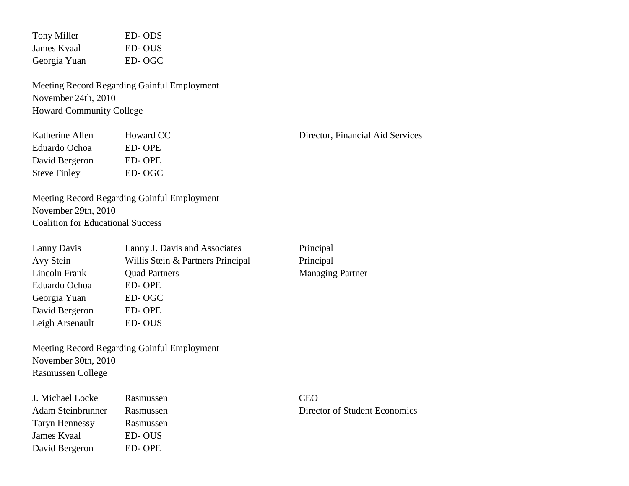| Tony Miller  | ED-ODS |
|--------------|--------|
| James Kyaal  | ED-OUS |
| Georgia Yuan | ED-OGC |

Meeting Record Regarding Gainful Employment November 24th, 2010 Howard Community College

| Katherine Allen     | <b>Howard CC</b> |
|---------------------|------------------|
| Eduardo Ochoa       | ED-OPE           |
| David Bergeron      | ED-OPE           |
| <b>Steve Finley</b> | ED-OGC           |

Meeting Record Regarding Gainful Employment November 29th, 2010 Coalition for Educational Success

| Lanny Davis     | Lanny J. Davis and Associates     |
|-----------------|-----------------------------------|
| Avy Stein       | Willis Stein & Partners Principal |
| Lincoln Frank   | <b>Quad Partners</b>              |
| Eduardo Ochoa   | ED-OPE                            |
| Georgia Yuan    | ED-OGC                            |
| David Bergeron  | ED-OPE                            |
| Leigh Arsenault | ED-OUS                            |

Meeting Record Regarding Gainful Employment November 30th, 2010 Rasmussen College

| J. Michael Locke      | Rasmussen | CEO   |
|-----------------------|-----------|-------|
| Adam Steinbrunner     | Rasmussen | Direc |
| <b>Taryn Hennessy</b> | Rasmussen |       |
| James Kvaal           | ED-OUS    |       |
| David Bergeron        | ED-OPE    |       |

C<sub>2</sub> Director, Financial Aid Services

Principal Principal Managing Partner

Am Steinbrunner Director of Student Economics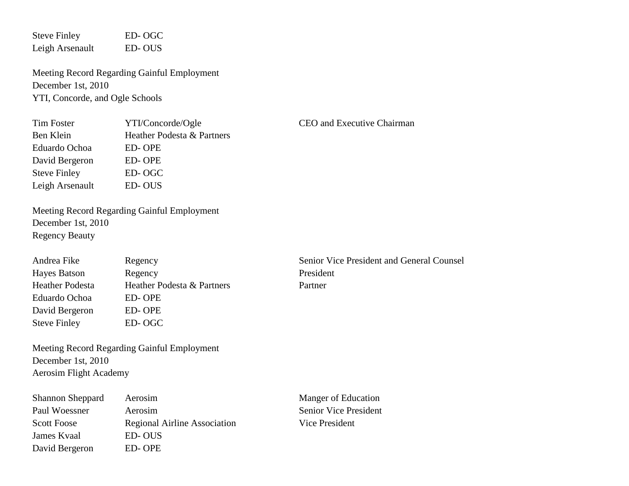Steve Finley ED- OGC Leigh Arsenault ED- OUS

Meeting Record Regarding Gainful Employment December 1st, 2010 YTI, Concorde, and Ogle Schools

| Tim Foster          | YTI/Concorde/Ogle          |
|---------------------|----------------------------|
| Ben Klein           | Heather Podesta & Partners |
| Eduardo Ochoa       | ED-OPE                     |
| David Bergeron      | <b>ED-OPE</b>              |
| <b>Steve Finley</b> | ED-OGC                     |
| Leigh Arsenault     | ED-OUS                     |

CEO and Executive Chairman

Meeting Record Regarding Gainful Employment December 1st, 2010 Regency Beauty

| Andrea Fike            | Regency                    | Senior  |
|------------------------|----------------------------|---------|
| Hayes Batson           | Regency                    | Preside |
| <b>Heather Podesta</b> | Heather Podesta & Partners | Partner |
| Eduardo Ochoa          | ED-OPE                     |         |
| David Bergeron         | ED-OPE                     |         |
| <b>Steve Finley</b>    | ED-OGC                     |         |

Senior Vice President and General Counsel President

Meeting Record Regarding Gainful Employment December 1st, 2010 Aerosim Flight Academy

| <b>Shannon Sheppard</b> | Aerosim                             |
|-------------------------|-------------------------------------|
| Paul Woessner           | Aerosim                             |
| <b>Scott Foose</b>      | <b>Regional Airline Association</b> |
| James Kvaal             | ED-OUS                              |
| David Bergeron          | ED-OPE                              |

Manger of Education **Senior Vice President** Vice President